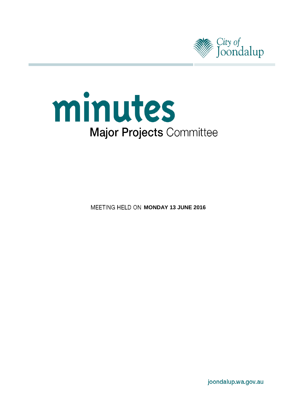



**MEETING HELD ON MONDAY 13 JUNE 2016** 

joondalup.wa.gov.au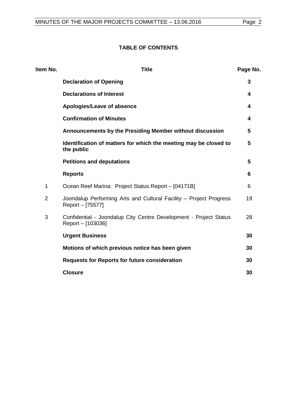## **TABLE OF CONTENTS**

| <b>Title</b>                                                                           | Page No. |
|----------------------------------------------------------------------------------------|----------|
| <b>Declaration of Opening</b>                                                          | 3        |
| <b>Declarations of Interest</b>                                                        | 4        |
| Apologies/Leave of absence                                                             | 4        |
| <b>Confirmation of Minutes</b>                                                         | 4        |
| Announcements by the Presiding Member without discussion                               | 5        |
| Identification of matters for which the meeting may be closed to<br>the public         | 5        |
| <b>Petitions and deputations</b>                                                       | 5        |
| <b>Reports</b>                                                                         | 6        |
| Ocean Reef Marina: Project Status Report - [04171B]                                    | 6        |
| Joondalup Performing Arts and Cultural Facility - Project Progress<br>Report - [75577] | 19       |
| Confidential - Joondalup City Centre Development - Project Status<br>Report – [103036] | 28       |
| <b>Urgent Business</b>                                                                 | 30       |
| Motions of which previous notice has been given                                        | 30       |
| <b>Requests for Reports for future consideration</b>                                   | 30       |
| <b>Closure</b>                                                                         | 30       |
|                                                                                        |          |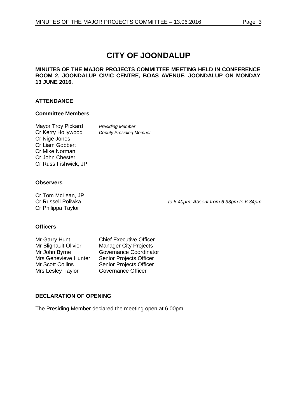# **CITY OF JOONDALUP**

#### **MINUTES OF THE MAJOR PROJECTS COMMITTEE MEETING HELD IN CONFERENCE ROOM 2, JOONDALUP CIVIC CENTRE, BOAS AVENUE, JOONDALUP ON MONDAY 13 JUNE 2016.**

#### **ATTENDANCE**

#### **Committee Members**

| <b>Presiding Member</b>        |
|--------------------------------|
| <b>Deputy Presiding Member</b> |
|                                |
|                                |
|                                |
|                                |
|                                |
|                                |

#### **Observers**

Cr Tom McLean, JP<br>Cr Russell Poliwka Cr Philippa Taylor

to 6.40pm; Absent from 6.33pm to 6.34pm

#### **Officers**

Mr Blignault Olivier Manager City Projects<br>Mr John Byrne Governance Coordinat Mrs Genevieve Hunter<br>Mr Scott Collins Mrs Lesley Taylor

Mr Garry Hunt Chief Executive Officer Governance Coordinator<br>Senior Projects Officer Senior Projects Officer<br>Governance Officer

### <span id="page-2-0"></span>**DECLARATION OF OPENING**

The Presiding Member declared the meeting open at 6.00pm.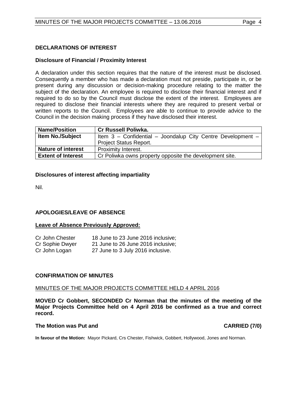#### <span id="page-3-0"></span>**DECLARATIONS OF INTEREST**

#### **Disclosure of Financial / Proximity Interest**

A declaration under this section requires that the nature of the interest must be disclosed. Consequently a member who has made a declaration must not preside, participate in, or be present during any discussion or decision-making procedure relating to the matter the subject of the declaration. An employee is required to disclose their financial interest and if required to do so by the Council must disclose the extent of the interest. Employees are required to disclose their financial interests where they are required to present verbal or written reports to the Council. Employees are able to continue to provide advice to the Council in the decision making process if they have disclosed their interest.

| <b>Name/Position</b>      | <b>Cr Russell Poliwka.</b>                                      |
|---------------------------|-----------------------------------------------------------------|
| <b>Item No./Subject</b>   | Item 3 - Confidential - Joondalup City Centre Development - $ $ |
|                           | <b>Project Status Report.</b>                                   |
| <b>Nature of interest</b> | Proximity Interest.                                             |
| <b>Extent of Interest</b> | Cr Poliwka owns property opposite the development site.         |

#### **Disclosures of interest affecting impartiality**

Nil.

#### <span id="page-3-1"></span>**APOLOGIES/LEAVE OF ABSENCE**

#### **Leave of Absence Previously Approved:**

| Cr John Chester | 18 June to 23 June 2016 inclusive; |
|-----------------|------------------------------------|
| Cr Sophie Dwyer | 21 June to 26 June 2016 inclusive; |
| Cr John Logan   | 27 June to 3 July 2016 inclusive.  |

#### <span id="page-3-2"></span>**CONFIRMATION OF MINUTES**

#### MINUTES OF THE MAJOR PROJECTS COMMITTEE HELD 4 APRIL 2016

**MOVED Cr Gobbert, SECONDED Cr Norman that the minutes of the meeting of the Major Projects Committee held on 4 April 2016 be confirmed as a true and correct record.**

#### **The Motion was Put and CARRIED (7/0)**

**In favour of the Motion:** Mayor Pickard, Crs Chester, Fishwick, Gobbert, Hollywood, Jones and Norman.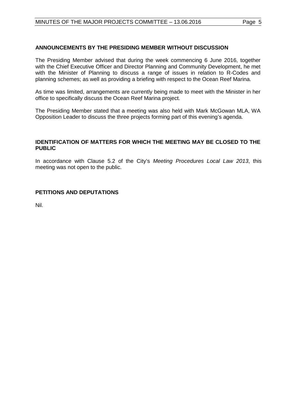#### <span id="page-4-0"></span>**ANNOUNCEMENTS BY THE PRESIDING MEMBER WITHOUT DISCUSSION**

The Presiding Member advised that during the week commencing 6 June 2016, together with the Chief Executive Officer and Director Planning and Community Development, he met with the Minister of Planning to discuss a range of issues in relation to R-Codes and planning schemes; as well as providing a briefing with respect to the Ocean Reef Marina.

As time was limited, arrangements are currently being made to meet with the Minister in her office to specifically discuss the Ocean Reef Marina project.

The Presiding Member stated that a meeting was also held with Mark McGowan MLA, WA Opposition Leader to discuss the three projects forming part of this evening's agenda.

#### <span id="page-4-1"></span>**IDENTIFICATION OF MATTERS FOR WHICH THE MEETING MAY BE CLOSED TO THE PUBLIC**

In accordance with Clause 5.2 of the City's *Meeting Procedures Local Law 2013*, this meeting was not open to the public.

#### <span id="page-4-2"></span>**PETITIONS AND DEPUTATIONS**

Nil.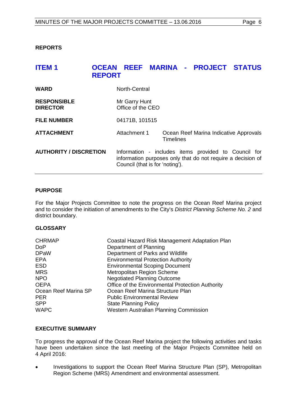#### <span id="page-5-0"></span>**REPORTS**

<span id="page-5-1"></span>

| <b>ITEM1</b>                          | <b>OCEAN</b><br><b>REPORT</b>      |                                 | REEF MARINA - PROJECT STATUS                                                                                        |  |
|---------------------------------------|------------------------------------|---------------------------------|---------------------------------------------------------------------------------------------------------------------|--|
| <b>WARD</b>                           | North-Central                      |                                 |                                                                                                                     |  |
| <b>RESPONSIBLE</b><br><b>DIRECTOR</b> | Mr Garry Hunt<br>Office of the CEO |                                 |                                                                                                                     |  |
| <b>FILE NUMBER</b>                    | 04171B, 101515                     |                                 |                                                                                                                     |  |
| <b>ATTACHMENT</b>                     | Attachment 1                       | <b>Timelines</b>                | Ocean Reef Marina Indicative Approvals                                                                              |  |
| <b>AUTHORITY / DISCRETION</b>         |                                    | Council (that is for 'noting'). | Information - includes items provided to Council for<br>information purposes only that do not require a decision of |  |

#### **PURPOSE**

For the Major Projects Committee to note the progress on the Ocean Reef Marina project and to consider the initiation of amendments to the City's *District Planning Scheme No. 2* and district boundary.

#### **GLOSSARY**

| <b>CHRMAP</b>        | Coastal Hazard Risk Management Adaptation Plan   |
|----------------------|--------------------------------------------------|
| <b>DoP</b>           | Department of Planning                           |
| <b>DPaW</b>          | Department of Parks and Wildlife                 |
| EPA                  | <b>Environmental Protection Authority</b>        |
| <b>ESD</b>           | <b>Environmental Scoping Document</b>            |
| <b>MRS</b>           | Metropolitan Region Scheme                       |
| <b>NPO</b>           | <b>Negotiated Planning Outcome</b>               |
| <b>OEPA</b>          | Office of the Environmental Protection Authority |
| Ocean Reef Marina SP | Ocean Reef Marina Structure Plan                 |
| <b>PER</b>           | <b>Public Environmental Review</b>               |
| <b>SPP</b>           | <b>State Planning Policy</b>                     |
| <b>WAPC</b>          | Western Australian Planning Commission           |
|                      |                                                  |

#### **EXECUTIVE SUMMARY**

To progress the approval of the Ocean Reef Marina project the following activities and tasks have been undertaken since the last meeting of the Major Projects Committee held on 4 April 2016:

• Investigations to support the Ocean Reef Marina Structure Plan (SP), Metropolitan Region Scheme (MRS) Amendment and environmental assessment.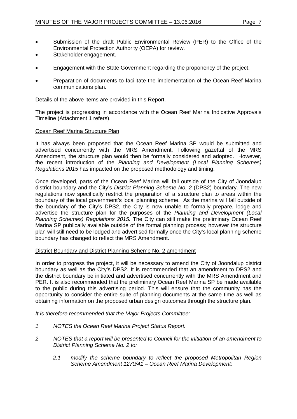- Submission of the draft Public Environmental Review (PER) to the Office of the Environmental Protection Authority (OEPA) for review.
- Stakeholder engagement.
- Engagement with the State Government regarding the proponency of the project.
- Preparation of documents to facilitate the implementation of the Ocean Reef Marina communications plan.

Details of the above items are provided in this Report.

The project is progressing in accordance with the Ocean Reef Marina Indicative Approvals Timeline (Attachment 1 refers).

#### Ocean Reef Marina Structure Plan

It has always been proposed that the Ocean Reef Marina SP would be submitted and advertised concurrently with the MRS Amendment. Following gazettal of the MRS Amendment, the structure plan would then be formally considered and adopted. However, the recent introduction of the *Planning and Development (Local Planning Schemes) Regulations 2015* has impacted on the proposed methodology and timing.

Once developed, parts of the Ocean Reef Marina will fall outside of the City of Joondalup district boundary and the City's *District Planning Scheme No. 2* (DPS2) boundary. The new regulations now specifically restrict the preparation of a structure plan to areas within the boundary of the local government's local planning scheme. As the marina will fall outside of the boundary of the City's DPS2, the City is now unable to formally prepare, lodge and advertise the structure plan for the purposes of the *Planning and Development (Local Planning Schemes) Regulations 2015.* The City can still make the preliminary Ocean Reef Marina SP publically available outside of the formal planning process; however the structure plan will still need to be lodged and advertised formally once the City's local planning scheme boundary has changed to reflect the MRS Amendment.

#### District Boundary and District Planning Scheme No. 2 amendment

In order to progress the project, it will be necessary to amend the City of Joondalup district boundary as well as the City's DPS2. It is recommended that an amendment to DPS2 and the district boundary be initiated and advertised concurrently with the MRS Amendment and PER. It is also recommended that the preliminary Ocean Reef Marina SP be made available to the public during this advertising period. This will ensure that the community has the opportunity to consider the entire suite of planning documents at the same time as well as obtaining information on the proposed urban design outcomes through the structure plan.

*It is therefore recommended that the Major Projects Committee:*

- *1 NOTES the Ocean Reef Marina Project Status Report.*
- *2 NOTES that a report will be presented to Council for the initiation of an amendment to District Planning Scheme No. 2 to:*
	- *2.1 modify the scheme boundary to reflect the proposed Metropolitan Region Scheme Amendment 1270/41 – Ocean Reef Marina Development;*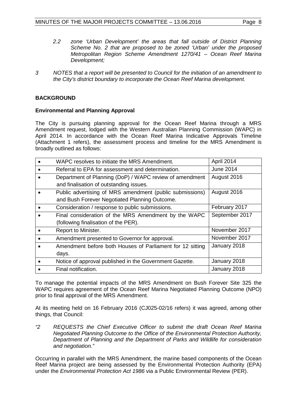- *2.2 zone 'Urban Development' the areas that fall outside of District Planning Scheme No. 2 that are proposed to be zoned 'Urban' under the proposed Metropolitan Region Scheme Amendment 1270/41 – Ocean Reef Marina Development;*
- *3 NOTES that a report will be presented to Council for the initiation of an amendment to the City's district boundary to incorporate the Ocean Reef Marina development.*

### **BACKGROUND**

#### **Environmental and Planning Approval**

The City is pursuing planning approval for the Ocean Reef Marina through a MRS Amendment request, lodged with the Western Australian Planning Commission (WAPC) in April 2014. In accordance with the Ocean Reef Marina Indicative Approvals Timeline (Attachment 1 refers), the assessment process and timeline for the MRS Amendment is broadly outlined as follows:

| WAPC resolves to initiate the MRS Amendment.              | April 2014     |
|-----------------------------------------------------------|----------------|
| Referral to EPA for assessment and determination.         | June 2014      |
| Department of Planning (DoP) / WAPC review of amendment   | August 2016    |
| and finalisation of outstanding issues.                   |                |
| Public advertising of MRS amendment (public submissions)  | August 2016    |
| and Bush Forever Negotiated Planning Outcome.             |                |
| Consideration / response to public submissions.           | February 2017  |
| Final consideration of the MRS Amendment by the WAPC      | September 2017 |
| (following finalisation of the PER).                      |                |
| Report to Minister.                                       | November 2017  |
| Amendment presented to Governor for approval.             | November 2017  |
| Amendment before both Houses of Parliament for 12 sitting | January 2018   |
| days.                                                     |                |
| Notice of approval published in the Government Gazette.   | January 2018   |
| Final notification.                                       | January 2018   |

To manage the potential impacts of the MRS Amendment on Bush Forever Site 325 the WAPC requires agreement of the Ocean Reef Marina Negotiated Planning Outcome (NPO) prior to final approval of the MRS Amendment.

At its meeting held on 16 February 2016 (CJ025-02/16 refers) it was agreed, among other things, that Council:

*"2 REQUESTS the Chief Executive Officer to submit the draft Ocean Reef Marina Negotiated Planning Outcome to the Office of the Environmental Protection Authority, Department of Planning and the Department of Parks and Wildlife for consideration and negotiation."*

Occurring in parallel with the MRS Amendment, the marine based components of the Ocean Reef Marina project are being assessed by the Environmental Protection Authority (EPA) under the *Environmental Protection Act 1986* via a Public Environmental Review (PER).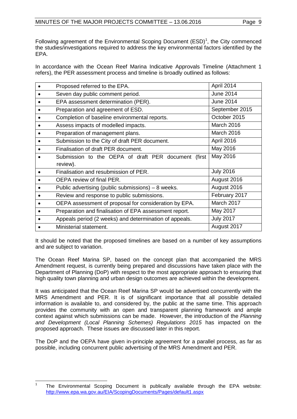Following agreement of the Environmental Scoping Document  $(ESD)^1$  $(ESD)^1$ , the City commenced the studies/investigations required to address the key environmental factors identified by the EPA.

In accordance with the Ocean Reef Marina Indicative Approvals Timeline (Attachment 1 refers), the PER assessment process and timeline is broadly outlined as follows:

| Proposed referred to the EPA.                          | April 2014       |
|--------------------------------------------------------|------------------|
| Seven day public comment period.                       | <b>June 2014</b> |
| EPA assessment determination (PER).                    | <b>June 2014</b> |
| Preparation and agreement of ESD.                      | September 2015   |
| Completion of baseline environmental reports.          | October 2015     |
| Assess impacts of modelled impacts.                    | March 2016       |
| Preparation of management plans.                       | March 2016       |
| Submission to the City of draft PER document.          | April 2016       |
| Finalisation of draft PER document.                    | May 2016         |
| Submission to the OEPA of draft PER document (first    | May 2016         |
| review).                                               |                  |
| Finalisation and resubmission of PER.                  | <b>July 2016</b> |
| OEPA review of final PER.                              | August 2016      |
| Public advertising (public submissions) $-8$ weeks.    | August 2016      |
| Review and response to public submissions.             | February 2017    |
| OEPA assessment of proposal for consideration by EPA.  | March 2017       |
| Preparation and finalisation of EPA assessment report. | May 2017         |
| Appeals period (2 weeks) and determination of appeals. | <b>July 2017</b> |
| Ministerial statement.                                 | August 2017      |

It should be noted that the proposed timelines are based on a number of key assumptions and are subject to variation.

The Ocean Reef Marina SP, based on the concept plan that accompanied the MRS Amendment request, is currently being prepared and discussions have taken place with the Department of Planning (DoP) with respect to the most appropriate approach to ensuring that high quality town planning and urban design outcomes are achieved within the development.

It was anticipated that the Ocean Reef Marina SP would be advertised concurrently with the MRS Amendment and PER. It is of significant importance that all possible detailed information is available to, and considered by, the public at the same time. This approach provides the community with an open and transparent planning framework and ample context against which submissions can be made. However, the introduction of the *Planning and Development (Local Planning Schemes) Regulations 2015* has impacted on the proposed approach. These issues are discussed later in this report.

The DoP and the OEPA have given in-principle agreement for a parallel process, as far as possible, including concurrent public advertising of the MRS Amendment and PER.

<span id="page-8-0"></span><sup>1</sup> The Environmental Scoping Document is publically available through the EPA website: <http://www.epa.wa.gov.au/EIA/ScopingDocuments/Pages/default1.aspx>  $\overline{1}$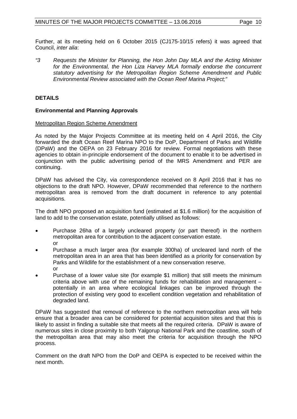Further, at its meeting held on 6 October 2015 (CJ175-10/15 refers) it was agreed that Council, *inter alia*:

*"3 Requests the Minister for Planning, the Hon John Day MLA and the Acting Minister*  for the Environmental, the Hon Liza Harvey MLA formally endorse the concurrent *statutory advertising for the Metropolitan Region Scheme Amendment and Public Environmental Review associated with the Ocean Reef Marina Project;"*

#### **DETAILS**

#### **Environmental and Planning Approvals**

#### Metropolitan Region Scheme Amendment

As noted by the Major Projects Committee at its meeting held on 4 April 2016, the City forwarded the draft Ocean Reef Marina NPO to the DoP, Department of Parks and Wildlife (DPaW) and the OEPA on 23 February 2016 for review. Formal negotiations with these agencies to obtain in-principle endorsement of the document to enable it to be advertised in conjunction with the public advertising period of the MRS Amendment and PER are continuing.

DPaW has advised the City, via correspondence received on 8 April 2016 that it has no objections to the draft NPO. However, DPaW recommended that reference to the northern metropolitan area is removed from the draft document in reference to any potential acquisitions.

The draft NPO proposed an acquisition fund (estimated at \$1.6 million) for the acquisition of land to add to the conservation estate, potentially utilised as follows:

- Purchase 26ha of a largely uncleared property (or part thereof) in the northern metropolitan area for contribution to the adjacent conservation estate. or
- Purchase a much larger area (for example 300ha) of uncleared land north of the metropolitan area in an area that has been identified as a priority for conservation by Parks and Wildlife for the establishment of a new conservation reserve. or
- Purchase of a lower value site (for example \$1 million) that still meets the minimum criteria above with use of the remaining funds for rehabilitation and management – potentially in an area where ecological linkages can be improved through the protection of existing very good to excellent condition vegetation and rehabilitation of degraded land.

DPaW has suggested that removal of reference to the northern metropolitan area will help ensure that a broader area can be considered for potential acquisition sites and that this is likely to assist in finding a suitable site that meets all the required criteria. DPaW is aware of numerous sites in close proximity to both Yalgorup National Park and the coastline, south of the metropolitan area that may also meet the criteria for acquisition through the NPO process.

Comment on the draft NPO from the DoP and OEPA is expected to be received within the next month.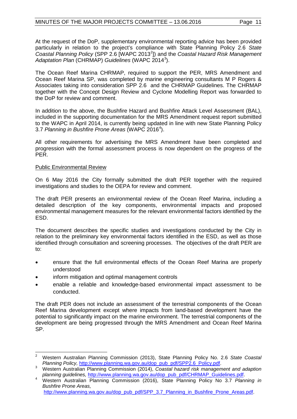At the request of the DoP, supplementary environmental reporting advice has been provided particularly in relation to the project's compliance with State Planning Policy 2.6 *State*  Coastal Planning Policy (SPP [2](#page-10-0).6 [WAPC 2013<sup>2</sup>]) and the *Coastal Hazard Risk Management* Adaptation Plan (CHRMAP) *Guidelines* (WAPC 2014<sup>[3](#page-10-0)</sup>).

The Ocean Reef Marina CHRMAP, required to support the PER, MRS Amendment and Ocean Reef Marina SP, was completed by marine engineering consultants M P Rogers & Associates taking into consideration SPP 2.6 and the CHRMAP Guidelines. The CHRMAP together with the Concept Design Review and Cyclone Modelling Report was forwarded to the DoP for review and comment.

In addition to the above, the Bushfire Hazard and Bushfire Attack Level Assessment (BAL), included in the supporting documentation for the MRS Amendment request report submitted to the WAPC in April 2014, is currently being updated in line with new State Planning Policy 3.7 *Planning in Bushfire Prone Areas* (WAPC 2016<sup>[4](#page-10-0)</sup>).

All other requirements for advertising the MRS Amendment have been completed and progression with the formal assessment process is now dependent on the progress of the PER.

#### Public Environmental Review

On 6 May 2016 the City formally submitted the draft PER together with the required investigations and studies to the OEPA for review and comment.

The draft PER presents an environmental review of the Ocean Reef Marina, including a detailed description of the key components, environmental impacts and proposed environmental management measures for the relevant environmental factors identified by the ESD.

The document describes the specific studies and investigations conducted by the City in relation to the preliminary key environmental factors identified in the ESD, as well as those identified through consultation and screening processes. The objectives of the draft PER are to:

- ensure that the full environmental effects of the Ocean Reef Marina are properly understood
- inform mitigation and optimal management controls
- enable a reliable and knowledge-based environmental impact assessment to be conducted.

The draft PER does not include an assessment of the terrestrial components of the Ocean Reef Marina development except where impacts from land-based development have the potential to significantly impact on the marine environment. The terrestrial components of the development are being progressed through the MRS Amendment and Ocean Reef Marina SP.

<span id="page-10-0"></span><sup>2</sup> Western Australian Planning Commission (2013), State Planning Policy No. 2.6 *State Coastal*   $\overline{a}$ 

*Planning Policy, http://www.planning.wa.gov.au/dop\_pub\_pdf/CHRMAP\_Guidelines.pdf. planning guidelines, http://www.planning.wa.gov.au/dop\_pub\_pdf/CHRMAP\_Guidelines.pdf.* 

*Western Australian Planning Commission (2016), State Planning Policy No 3.7 Planning in Bushfire Prone Areas,* [http://www.planning.wa.gov.au/dop\\_pub\\_pdf/SPP\\_3.7\\_Planning\\_in\\_Bushfire\\_Prone\\_Areas.pdf.](http://www.planning.wa.gov.au/dop_pub_pdf/SPP_3.7_Planning_in_Bushfire_Prone_Areas.pdf)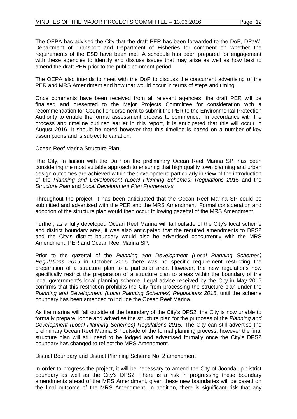The OEPA has advised the City that the draft PER has been forwarded to the DoP, DPaW, Department of Transport and Department of Fisheries for comment on whether the requirements of the ESD have been met. A schedule has been prepared for engagement with these agencies to identify and discuss issues that may arise as well as how best to amend the draft PER prior to the public comment period.

The OEPA also intends to meet with the DoP to discuss the concurrent advertising of the PER and MRS Amendment and how that would occur in terms of steps and timing.

Once comments have been received from all relevant agencies, the draft PER will be finalised and presented to the Major Projects Committee for consideration with a recommendation for Council endorsement to submit the PER to the Environmental Protection Authority to enable the formal assessment process to commence. In accordance with the process and timeline outlined earlier in this report, it is anticipated that this will occur in August 2016. It should be noted however that this timeline is based on a number of key assumptions and is subject to variation.

#### Ocean Reef Marina Structure Plan

The City, in liaison with the DoP on the preliminary Ocean Reef Marina SP, has been considering the most suitable approach to ensuring that high quality town planning and urban design outcomes are achieved within the development; particularly in view of the introduction of the *Planning and Development (Local Planning Schemes) Regulations 2015* and the *Structure Plan* and *Local Development Plan Frameworks.*

Throughout the project, it has been anticipated that the Ocean Reef Marina SP could be submitted and advertised with the PER and the MRS Amendment. Formal consideration and adoption of the structure plan would then occur following gazettal of the MRS Amendment.

Further, as a fully developed Ocean Reef Marina will fall outside of the City's local scheme and district boundary area, it was also anticipated that the required amendments to DPS2 and the City's district boundary would also be advertised concurrently with the MRS Amendment, PER and Ocean Reef Marina SP.

Prior to the gazettal of the *Planning and Development (Local Planning Schemes) Regulations 2015* in October 2015 there was no specific requirement restricting the preparation of a structure plan to a particular area. However, the new regulations now specifically restrict the preparation of a structure plan to areas within the boundary of the local government's local planning scheme. Legal advice received by the City in May 2016 confirms that this restriction prohibits the City from processing the structure plan under the *Planning and Development (Local Planning Schemes) Regulations 2015*, until the scheme boundary has been amended to include the Ocean Reef Marina.

As the marina will fall outside of the boundary of the City's DPS2, the City is now unable to formally prepare, lodge and advertise the structure plan for the purposes of the *Planning and Development (Local Planning Schemes) Regulations 2015.* The City can still advertise the preliminary Ocean Reef Marina SP outside of the formal planning process, however the final structure plan will still need to be lodged and advertised formally once the City's DPS2 boundary has changed to reflect the MRS Amendment.

#### District Boundary and District Planning Scheme No. 2 amendment

In order to progress the project, it will be necessary to amend the City of Joondalup district boundary as well as the City's DPS2. There is a risk in progressing these boundary amendments ahead of the MRS Amendment, given these new boundaries will be based on the final outcome of the MRS Amendment. In addition, there is significant risk that any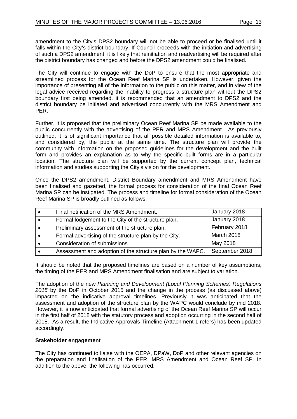amendment to the City's DPS2 boundary will not be able to proceed or be finalised until it falls within the City's district boundary. If Council proceeds with the initiation and advertising of such a DPS2 amendment, it is likely that reinitiation and readvertising will be required after the district boundary has changed and before the DPS2 amendment could be finalised.

The City will continue to engage with the DoP to ensure that the most appropriate and streamlined process for the Ocean Reef Marina SP is undertaken. However, given the importance of presenting all of the information to the public on this matter, and in view of the legal advice received regarding the inability to progress a structure plan without the DPS2 boundary first being amended, it is recommended that an amendment to DPS2 and the district boundary be initiated and advertised concurrently with the MRS Amendment and PER.

Further, it is proposed that the preliminary Ocean Reef Marina SP be made available to the public concurrently with the advertising of the PER and MRS Amendment. As previously outlined, it is of significant importance that all possible detailed information is available to, and considered by, the public at the same time. The structure plan will provide the community with information on the proposed guidelines for the development and the built form and provides an explanation as to why the specific built forms are in a particular location. The structure plan will be supported by the current concept plan, technical information and studies supporting the City's vision for the development.

Once the DPS2 amendment, District Boundary amendment and MRS Amendment have been finalised and gazetted, the formal process for consideration of the final Ocean Reef Marina SP can be instigated. The process and timeline for formal consideration of the Ocean Reef Marina SP is broadly outlined as follows:

| Final notification of the MRS Amendment.                   | January 2018   |
|------------------------------------------------------------|----------------|
| Formal lodgement to the City of the structure plan.        | January 2018   |
| Preliminary assessment of the structure plan.              | February 2018  |
| Formal advertising of the structure plan by the City.      | March 2018     |
| Consideration of submissions.                              | May 2018       |
| Assessment and adoption of the structure plan by the WAPC. | September 2018 |

It should be noted that the proposed timelines are based on a number of key assumptions, the timing of the PER and MRS Amendment finalisation and are subject to variation.

The adoption of the new *Planning and Development (Local Planning Schemes) Regulations 2015* by the DoP in October 2015 and the change in the process (as discussed above) impacted on the indicative approval timelines. Previously it was anticipated that the assessment and adoption of the structure plan by the WAPC would conclude by mid 2018. However, it is now anticipated that formal advertising of the Ocean Reef Marina SP will occur in the first half of 2018 with the statutory process and adoption occurring in the second half of 2018. As a result, the Indicative Approvals Timeline (Attachment 1 refers) has been updated accordingly.

#### **Stakeholder engagement**

The City has continued to liaise with the OEPA, DPaW, DoP and other relevant agencies on the preparation and finalisation of the PER, MRS Amendment and Ocean Reef SP. In addition to the above, the following has occurred: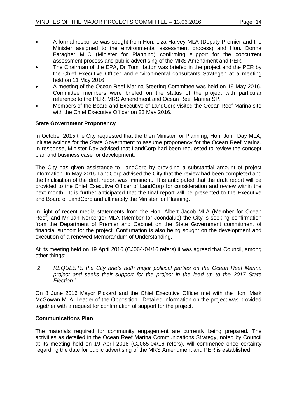- A formal response was sought from Hon. Liza Harvey MLA (Deputy Premier and the Minister assigned to the environmental assessment process) and Hon. Donna Faragher MLC (Minister for Planning) confirming support for the concurrent assessment process and public advertising of the MRS Amendment and PER.
- The Chairman of the EPA, Dr Tom Hatton was briefed in the project and the PER by the Chief Executive Officer and environmental consultants Strategen at a meeting held on 11 May 2016.
- A meeting of the Ocean Reef Marina Steering Committee was held on 19 May 2016. Committee members were briefed on the status of the project with particular reference to the PER, MRS Amendment and Ocean Reef Marina SP.
- Members of the Board and Executive of LandCorp visited the Ocean Reef Marina site with the Chief Executive Officer on 23 May 2016.

#### **State Government Proponency**

In October 2015 the City requested that the then Minister for Planning, Hon. John Day MLA, initiate actions for the State Government to assume proponency for the Ocean Reef Marina. In response, Minister Day advised that LandCorp had been requested to review the concept plan and business case for development.

The City has given assistance to LandCorp by providing a substantial amount of project information. In May 2016 LandCorp advised the City that the review had been completed and the finalisation of the draft report was imminent. It is anticipated that the draft report will be provided to the Chief Executive Officer of LandCorp for consideration and review within the next month. It is further anticipated that the final report will be presented to the Executive and Board of LandCorp and ultimately the Minister for Planning.

In light of recent media statements from the Hon. Albert Jacob MLA (Member for Ocean Reef) and Mr Jan Norberger MLA (Member for Joondalup) the City is seeking confirmation from the Department of Premier and Cabinet on the State Government commitment of financial support for the project. Confirmation is also being sought on the development and execution of a renewed Memorandum of Understanding.

At its meeting held on 19 April 2016 (CJ064-04/16 refers) it was agreed that Council, among other things:

*"2 REQUESTS the City briefs both major political parties on the Ocean Reef Marina project and seeks their support for the project in the lead up to the 2017 State Election."*

On 8 June 2016 Mayor Pickard and the Chief Executive Officer met with the Hon. Mark McGowan MLA, Leader of the Opposition. Detailed information on the project was provided together with a request for confirmation of support for the project.

#### **Communications Plan**

The materials required for community engagement are currently being prepared. The activities as detailed in the Ocean Reef Marina Communications Strategy, noted by Council at its meeting held on 19 April 2016 (CJ065-04/16 refers), will commence once certainty regarding the date for public advertising of the MRS Amendment and PER is established.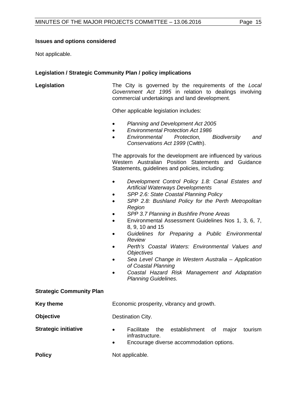#### **Issues and options considered**

Not applicable.

#### **Legislation / Strategic Community Plan / policy implications**

**Legislation** The City is governed by the requirements of the *Local Government Act 1995* in relation to dealings involving commercial undertakings and land development.

Other applicable legislation includes:

- *Planning and Development Act 2005*
- *Environmental Protection Act 1986*
- *Environmental Protection, Biodiversity and Conservations Act 1999* (Cwlth).

The approvals for the development are influenced by various Western Australian Position Statements and Guidance Statements, guidelines and policies, including:

- *Development Control Policy 1.8: Canal Estates and Artificial Waterways Developments*
- *SPP 2.6: State Coastal Planning Policy*
- *SPP 2.8: Bushland Policy for the Perth Metropolitan Region*
- *SPP 3.7 Planning in Bushfire Prone Areas*
- Environmental Assessment Guidelines Nos 1, 3, 6, 7, 8, 9, 10 and 15
- *Guidelines for Preparing a Public Environmental Review*
- *Perth's Coastal Waters: Environmental Values and Objectives*
- *Sea Level Change in Western Australia – Application of Coastal Planning*
- *Coastal Hazard Risk Management and Adaptation Planning Guidelines.*

# **Strategic Community Plan**

**Key theme Economic prosperity, vibrancy and growth.** 

**Objective** Destination City.

- 
- **Strategic initiative •** Facilitate the establishment of major tourism infrastructure.
	- Encourage diverse accommodation options.

**Policy** Not applicable.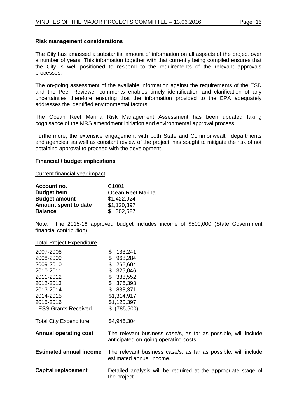#### **Risk management considerations**

The City has amassed a substantial amount of information on all aspects of the project over a number of years. This information together with that currently being compiled ensures that the City is well positioned to respond to the requirements of the relevant approvals processes.

The on-going assessment of the available information against the requirements of the ESD and the Peer Reviewer comments enables timely identification and clarification of any uncertainties therefore ensuring that the information provided to the EPA adequately addresses the identified environmental factors.

The Ocean Reef Marina Risk Management Assessment has been updated taking cognisance of the MRS amendment initiation and environmental approval process.

Furthermore, the extensive engagement with both State and Commonwealth departments and agencies, as well as constant review of the project, has sought to mitigate the risk of not obtaining approval to proceed with the development.

#### **Financial / budget implications**

Current financial year impact

| Account no.          | C <sub>1001</sub> |
|----------------------|-------------------|
| <b>Budget Item</b>   | Ocean Reef Marina |
| <b>Budget amount</b> | \$1,422,924       |
| Amount spent to date | \$1,120,397       |
| <b>Balance</b>       | \$302,527         |

Note: The 2015-16 approved budget includes income of \$500,000 (State Government financial contribution).

# Total Project Expenditure

| 2007-2008                      | \$<br>133,241                                                  |
|--------------------------------|----------------------------------------------------------------|
| 2008-2009                      | 968,284<br>\$                                                  |
| 2009-2010                      | \$<br>266,604                                                  |
| 2010-2011                      | \$<br>325,046                                                  |
| 2011-2012                      | \$<br>388,552                                                  |
| 2012-2013                      | \$<br>376,393                                                  |
| 2013-2014                      | \$<br>838,371                                                  |
| 2014-2015                      | \$1,314,917                                                    |
| 2015-2016                      | \$1,120,397                                                    |
| <b>LESS Grants Received</b>    | (785, 500)<br>S.                                               |
|                                |                                                                |
| <b>Total City Expenditure</b>  | \$4,946,304                                                    |
|                                |                                                                |
| <b>Annual operating cost</b>   | The relevant business case/s, as far as possible, will include |
|                                | anticipated on-going operating costs.                          |
|                                |                                                                |
| <b>Estimated annual income</b> | The relevant business case/s, as far as possible, will include |
|                                | estimated annual income.                                       |
|                                |                                                                |
| <b>Capital replacement</b>     | Detailed analysis will be required at the appropriate stage of |
|                                | the project.                                                   |
|                                |                                                                |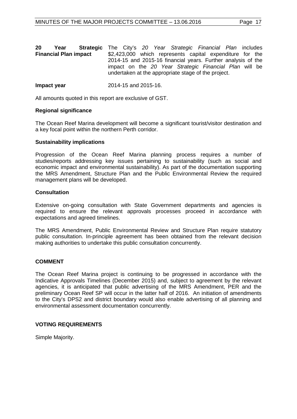| 20                           | Year | <b>Strategic</b> The City's 20 Year Strategic Financial Plan includes |  |                                                          |                                                              |  |  |  |
|------------------------------|------|-----------------------------------------------------------------------|--|----------------------------------------------------------|--------------------------------------------------------------|--|--|--|
| <b>Financial Plan impact</b> |      |                                                                       |  | \$2,423,000 which represents capital expenditure for the |                                                              |  |  |  |
|                              |      |                                                                       |  |                                                          | 2014-15 and 2015-16 financial years. Further analysis of the |  |  |  |
|                              |      |                                                                       |  |                                                          | impact on the 20 Year Strategic Financial Plan will be       |  |  |  |
|                              |      |                                                                       |  |                                                          | undertaken at the appropriate stage of the project.          |  |  |  |
|                              |      |                                                                       |  |                                                          |                                                              |  |  |  |

#### **Impact year** 2014-15 and 2015-16.

All amounts quoted in this report are exclusive of GST.

#### **Regional significance**

The Ocean Reef Marina development will become a significant tourist/visitor destination and a key focal point within the northern Perth corridor.

#### **Sustainability implications**

Progression of the Ocean Reef Marina planning process requires a number of studies/reports addressing key issues pertaining to sustainability (such as social and economic impact and environmental sustainability). As part of the documentation supporting the MRS Amendment, Structure Plan and the Public Environmental Review the required management plans will be developed.

#### **Consultation**

Extensive on-going consultation with State Government departments and agencies is required to ensure the relevant approvals processes proceed in accordance with expectations and agreed timelines.

The MRS Amendment, Public Environmental Review and Structure Plan require statutory public consultation. In-principle agreement has been obtained from the relevant decision making authorities to undertake this public consultation concurrently.

#### **COMMENT**

The Ocean Reef Marina project is continuing to be progressed in accordance with the Indicative Approvals Timelines (December 2015) and, subject to agreement by the relevant agencies, it is anticipated that public advertising of the MRS Amendment, PER and the preliminary Ocean Reef SP will occur in the latter half of 2016. An initiation of amendments to the City's DPS2 and district boundary would also enable advertising of all planning and environmental assessment documentation concurrently.

#### **VOTING REQUIREMENTS**

Simple Majority.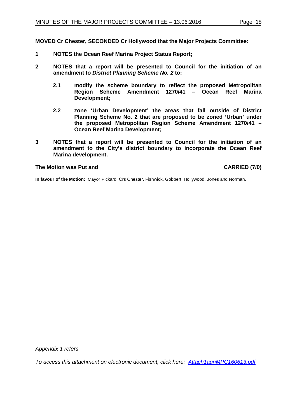**MOVED Cr Chester, SECONDED Cr Hollywood that the Major Projects Committee:**

- **1 NOTES the Ocean Reef Marina Project Status Report;**
- **2 NOTES that a report will be presented to Council for the initiation of an amendment to** *District Planning Scheme No. 2* **to:**
	- **2.1 modify the scheme boundary to reflect the proposed Metropolitan Region Scheme Amendment 1270/41 – Ocean Reef Marina Development;**
	- **2.2 zone 'Urban Development' the areas that fall outside of District Planning Scheme No. 2 that are proposed to be zoned 'Urban' under the proposed Metropolitan Region Scheme Amendment 1270/41 – Ocean Reef Marina Development;**
- **3 NOTES that a report will be presented to Council for the initiation of an amendment to the City's district boundary to incorporate the Ocean Reef Marina development.**

#### **The Motion was Put and CARRIED (7/0)**

**In favour of the Motion:** Mayor Pickard, Crs Chester, Fishwick, Gobbert, Hollywood, Jones and Norman.

*Appendix 1 refers*

*To access this attachment on electronic document, [click here: Attach1agnMPC160613.pdf](http://www.joondalup.wa.gov.au/files/committees/MAPC/2016/Attach1agnMPC160613.pdf)*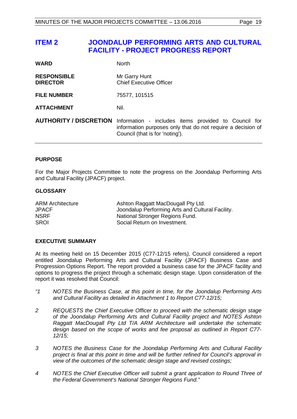# <span id="page-18-0"></span>**ITEM 2 JOONDALUP PERFORMING ARTS AND CULTURAL FACILITY - PROJECT PROGRESS REPORT**

| <b>WARD</b>                           | <b>North</b>                                                                                                                                           |
|---------------------------------------|--------------------------------------------------------------------------------------------------------------------------------------------------------|
| <b>RESPONSIBLE</b><br><b>DIRECTOR</b> | Mr Garry Hunt<br><b>Chief Executive Officer</b>                                                                                                        |
| <b>FILE NUMBER</b>                    | 75577, 101515                                                                                                                                          |
| <b>ATTACHMENT</b>                     | Nil.                                                                                                                                                   |
| <b>AUTHORITY / DISCRETION</b>         | Information - includes items provided to Council for<br>information purposes only that do not require a decision of<br>Council (that is for 'noting'). |

#### **PURPOSE**

For the Major Projects Committee to note the progress on the Joondalup Performing Arts and Cultural Facility (JPACF) project.

#### **GLOSSARY**

| <b>ARM Architecture</b> | Ashton Raggatt MacDougall Pty Ltd.               |
|-------------------------|--------------------------------------------------|
| JPACF                   | Joondalup Performing Arts and Cultural Facility. |
| NSRF                    | National Stronger Regions Fund.                  |
| SROI                    | Social Return on Investment.                     |

#### **EXECUTIVE SUMMARY**

At its meeting held on 15 December 2015 (C77-12/15 refers*),* Council considered a report entitled Joondalup Performing Arts and Cultural Facility (JPACF) Business Case and Progression Options Report. The report provided a business case for the JPACF facility and options to progress the project through a schematic design stage. Upon consideration of the report it was resolved that Council:

- *"1 NOTES the Business Case, at this point in time, for the Joondalup Performing Arts and Cultural Facility as detailed in Attachment 1 to Report C77-12/15;*
- *2 REQUESTS the Chief Executive Officer to proceed with the schematic design stage of the Joondalup Performing Arts and Cultural Facility project and NOTES Ashton Raggatt MacDougall Pty Ltd T/A ARM Architecture will undertake the schematic design based on the scope of works and fee proposal as outlined in Report C77- 12/15;*
- *3 NOTES the Business Case for the Joondalup Performing Arts and Cultural Facility project is final at this point in time and will be further refined for Council's approval in view of the outcomes of the schematic design stage and revised costings;*
- *4 NOTES the Chief Executive Officer will submit a grant application to Round Three of the Federal Government's National Stronger Regions Fund."*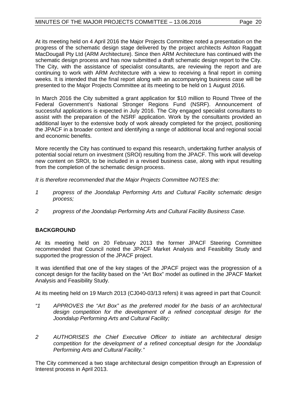At its meeting held on 4 April 2016 the Major Projects Committee noted a presentation on the progress of the schematic design stage delivered by the project architects Ashton Raggatt MacDougall Pty Ltd (ARM Architecture). Since then ARM Architecture has continued with the schematic design process and has now submitted a draft schematic design report to the City. The City, with the assistance of specialist consultants, are reviewing the report and are continuing to work with ARM Architecture with a view to receiving a final report in coming weeks. It is intended that the final report along with an accompanying business case will be presented to the Major Projects Committee at its meeting to be held on 1 August 2016.

In March 2016 the City submitted a grant application for \$10 million to Round Three of the Federal Government's National Stronger Regions Fund (NSRF). Announcement of successful applications is expected in July 2016. The City engaged specialist consultants to assist with the preparation of the NSRF application. Work by the consultants provided an additional layer to the extensive body of work already completed for the project, positioning the JPACF in a broader context and identifying a range of additional local and regional social and economic benefits.

More recently the City has continued to expand this research, undertaking further analysis of potential social return on investment (SROI) resulting from the JPACF. This work will develop new content on SROI, to be included in a revised business case, along with input resulting from the completion of the schematic design process.

*It is therefore recommended that the Major Projects Committee NOTES the:*

- *1 progress of the Joondalup Performing Arts and Cultural Facility schematic design process;*
- *2 progress of the Joondalup Performing Arts and Cultural Facility Business Case.*

### **BACKGROUND**

At its meeting held on 20 February 2013 the former JPACF Steering Committee recommended that Council noted the JPACF Market Analysis and Feasibility Study and supported the progression of the JPACF project.

It was identified that one of the key stages of the JPACF project was the progression of a concept design for the facility based on the "Art Box" model as outlined in the JPACF Market Analysis and Feasibility Study.

At its meeting held on 19 March 2013 (CJ040-03/13 refers) it was agreed in part that Council:

- *"1 APPROVES the "Art Box" as the preferred model for the basis of an architectural design competition for the development of a refined conceptual design for the Joondalup Performing Arts and Cultural Facility;*
- *2 AUTHORISES the Chief Executive Officer to initiate an architectural design competition for the development of a refined conceptual design for the Joondalup Performing Arts and Cultural Facility."*

The City commenced a two stage architectural design competition through an Expression of Interest process in April 2013.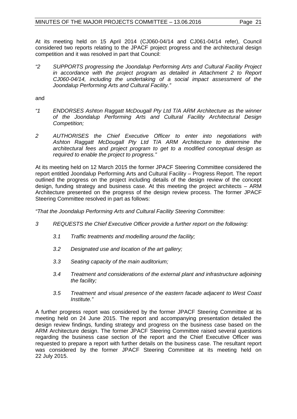At its meeting held on 15 April 2014 (CJ060-04/14 and CJ061-04/14 refer), Council considered two reports relating to the JPACF project progress and the architectural design competition and it was resolved in part that Council:

*"2 SUPPORTS progressing the Joondalup Performing Arts and Cultural Facility Project*  in accordance with the project program as detailed in Attachment 2 to Report *CJ060-04/14, including the undertaking of a social impact assessment of the Joondalup Performing Arts and Cultural Facility."*

and

- *"1 ENDORSES Ashton Raggatt McDougall Pty Ltd T/A ARM Architecture as the winner of the Joondalup Performing Arts and Cultural Facility Architectural Design Competition;*
- *2 AUTHORISES the Chief Executive Officer to enter into negotiations with Ashton Raggatt McDougall Pty Ltd T/A ARM Architecture to determine the architectural fees and project program to get to a modified conceptual design as required to enable the project to progress."*

At its meeting held on 12 March 2015 the former JPACF Steering Committee considered the report entitled Joondalup Performing Arts and Cultural Facility – Progress Report. The report outlined the progress on the project including details of the design review of the concept design, funding strategy and business case. At this meeting the project architects – ARM Architecture presented on the progress of the design review process. The former JPACF Steering Committee resolved in part as follows:

*"That the Joondalup Performing Arts and Cultural Facility Steering Committee:*

- *3 REQUESTS the Chief Executive Officer provide a further report on the following:*
	- *3.1 Traffic treatments and modelling around the facility;*
	- *3.2 Designated use and location of the art gallery;*
	- *3.3 Seating capacity of the main auditorium;*
	- *3.4 Treatment and considerations of the external plant and infrastructure adjoining the facility;*
	- *3.5 Treatment and visual presence of the eastern facade adjacent to West Coast Institute."*

A further progress report was considered by the former JPACF Steering Committee at its meeting held on 24 June 2015. The report and accompanying presentation detailed the design review findings, funding strategy and progress on the business case based on the ARM Architecture design. The former JPACF Steering Committee raised several questions regarding the business case section of the report and the Chief Executive Officer was requested to prepare a report with further details on the business case. The resultant report was considered by the former JPACF Steering Committee at its meeting held on 22 July 2015.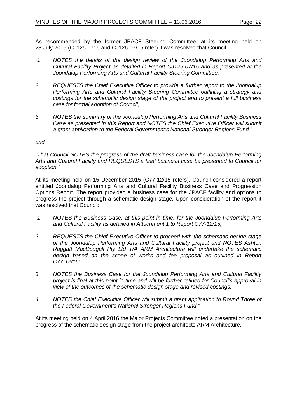As recommended by the former JPACF Steering Committee, at its meeting held on 28 July 2015 (CJ125-0715 and CJ126-07/15 refer) it was resolved that Council:

- *"1 NOTES the details of the design review of the Joondalup Performing Arts and Cultural Facility Project as detailed in Report CJ125-07/15 and as presented at the Joondalup Performing Arts and Cultural Facility Steering Committee;*
- *2 REQUESTS the Chief Executive Officer to provide a further report to the Joondalup Performing Arts and Cultural Facility Steering Committee outlining a strategy and costings for the schematic design stage of the project and to present a full business case for formal adoption of Council;*
- *3 NOTES the summary of the Joondalup Performing Arts and Cultural Facility Business Case as presented in this Report and NOTES the Chief Executive Officer will submit a grant application to the Federal Government's National Stronger Regions Fund."*

#### *and*

*"That Council NOTES the progress of the draft business case for the Joondalup Performing Arts and Cultural Facility and REQUESTS a final business case be presented to Council for adoption."*

At its meeting held on 15 December 2015 (C77-12/15 refers), Council considered a report entitled Joondalup Performing Arts and Cultural Facility Business Case and Progression Options Report. The report provided a business case for the JPACF facility and options to progress the project through a schematic design stage. Upon consideration of the report it was resolved that Council:

- *"1 NOTES the Business Case, at this point in time, for the Joondalup Performing Arts and Cultural Facility as detailed in Attachment 1 to Report C77-12/15;*
- *2 REQUESTS the Chief Executive Officer to proceed with the schematic design stage of the Joondalup Performing Arts and Cultural Facility project and NOTES Ashton Raggatt MacDougall Pty Ltd T/A ARM Architecture will undertake the schematic*  design based on the scope of works and fee proposal as outlined in Report *C77-12/15;*
- *3 NOTES the Business Case for the Joondalup Performing Arts and Cultural Facility project is final at this point in time and will be further refined for Council's approval in view of the outcomes of the schematic design stage and revised costings;*
- *4 NOTES the Chief Executive Officer will submit a grant application to Round Three of the Federal Government's National Stronger Regions Fund."*

At its meeting held on 4 April 2016 the Major Projects Committee noted a presentation on the progress of the schematic design stage from the project architects ARM Architecture.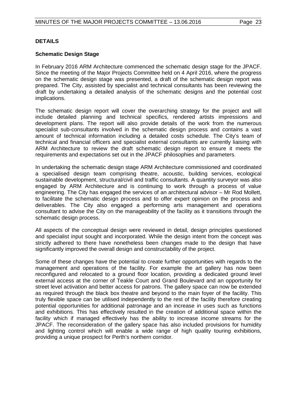#### **DETAILS**

#### **Schematic Design Stage**

In February 2016 ARM Architecture commenced the schematic design stage for the JPACF. Since the meeting of the Major Projects Committee held on 4 April 2016, where the progress on the schematic design stage was presented, a draft of the schematic design report was prepared. The City, assisted by specialist and technical consultants has been reviewing the draft by undertaking a detailed analysis of the schematic designs and the potential cost implications.

The schematic design report will cover the overarching strategy for the project and will include detailed planning and technical specifics, rendered artists impressions and development plans. The report will also provide details of the work from the numerous specialist sub-consultants involved in the schematic design process and contains a vast amount of technical information including a detailed costs schedule. The City's team of technical and financial officers and specialist external consultants are currently liaising with ARM Architecture to review the draft schematic design report to ensure it meets the requirements and expectations set out in the JPACF philosophies and parameters.

In undertaking the schematic design stage ARM Architecture commissioned and coordinated a specialised design team comprising theatre, acoustic, building services, ecological sustainable development, structural/civil and traffic consultants. A quantity surveyor was also engaged by ARM Architecture and is continuing to work through a process of value engineering. The City has engaged the services of an architectural advisor – Mr Rod Mollett, to facilitate the schematic design process and to offer expert opinion on the process and deliverables. The City also engaged a performing arts management and operations consultant to advise the City on the manageability of the facility as it transitions through the schematic design process.

All aspects of the conceptual design were reviewed in detail, design principles questioned and specialist input sought and incorporated. While the design intent from the concept was strictly adhered to there have nonetheless been changes made to the design that have significantly improved the overall design and constructability of the project.

Some of these changes have the potential to create further opportunities with regards to the management and operations of the facility. For example the art gallery has now been reconfigured and relocated to a ground floor location, providing a dedicated ground level external access at the corner of Teakle Court and Grand Boulevard and an opportunity for street level activation and better access for patrons. The gallery space can now be extended as required through the black box theatre and beyond to the main foyer of the facility. This truly flexible space can be utilised independently to the rest of the facility therefore creating potential opportunities for additional patronage and an increase in uses such as functions and exhibitions. This has effectively resulted in the creation of additional space within the facility which if managed effectively has the ability to increase income streams for the JPACF. The reconsideration of the gallery space has also included provisions for humidity and lighting control which will enable a wide range of high quality touring exhibitions, providing a unique prospect for Perth's northern corridor.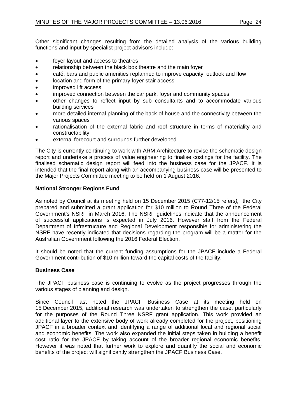Other significant changes resulting from the detailed analysis of the various building functions and input by specialist project advisors include:

- foyer layout and access to theatres
- relationship between the black box theatre and the main foyer
- café, bars and public amenities replanned to improve capacity, outlook and flow
- location and form of the primary foyer stair access
- improved lift access
- improved connection between the car park, foyer and community spaces
- other changes to reflect input by sub consultants and to accommodate various building services
- more detailed internal planning of the back of house and the connectivity between the various spaces
- rationalisation of the external fabric and roof structure in terms of materiality and constructability
- external forecourt and surrounds further developed.

The City is currently continuing to work with ARM Architecture to revise the schematic design report and undertake a process of value engineering to finalise costings for the facility. The finalised schematic design report will feed into the business case for the JPACF. It is intended that the final report along with an accompanying business case will be presented to the Major Projects Committee meeting to be held on 1 August 2016.

#### **National Stronger Regions Fund**

As noted by Council at its meeting held on 15 December 2015 (C77-12/15 refers*),* the City prepared and submitted a grant application for \$10 million to Round Three of the Federal Government's NSRF in March 2016. The NSRF guidelines indicate that the announcement of successful applications is expected in July 2016. However staff from the Federal Department of Infrastructure and Regional Development responsible for administering the NSRF have recently indicated that decisions regarding the program will be a matter for the Australian Government following the 2016 Federal Election.

It should be noted that the current funding assumptions for the JPACF include a Federal Government contribution of \$10 million toward the capital costs of the facility.

#### **Business Case**

The JPACF business case is continuing to evolve as the project progresses through the various stages of planning and design.

Since Council last noted the JPACF Business Case at its meeting held on 15 December 2015, additional research was undertaken to strengthen the case, particularly for the purposes of the Round Three NSRF grant application. This work provided an additional layer to the extensive body of work already completed for the project, positioning JPACF in a broader context and identifying a range of additional local and regional social and economic benefits. The work also expanded the initial steps taken in building a benefit cost ratio for the JPACF by taking account of the broader regional economic benefits. However it was noted that further work to explore and quantify the social and economic benefits of the project will significantly strengthen the JPACF Business Case.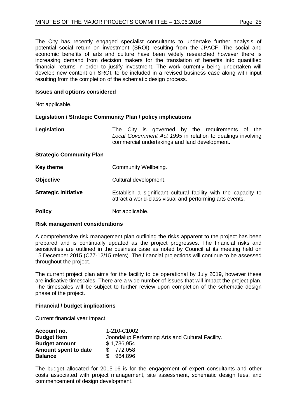The City has recently engaged specialist consultants to undertake further analysis of potential social return on investment (SROI) resulting from the JPACF. The social and economic benefits of arts and culture have been widely researched however there is increasing demand from decision makers for the translation of benefits into quantified financial returns in order to justify investment. The work currently being undertaken will develop new content on SROI, to be included in a revised business case along with input resulting from the completion of the schematic design process.

#### **Issues and options considered**

Not applicable.

#### **Legislation / Strategic Community Plan / policy implications**

| Legislation                     | The City is governed by the requirements of the<br>Local Government Act 1995 in relation to dealings involving<br>commercial undertakings and land development. |
|---------------------------------|-----------------------------------------------------------------------------------------------------------------------------------------------------------------|
| <b>Strategic Community Plan</b> |                                                                                                                                                                 |
| <b>Key theme</b>                | Community Wellbeing.                                                                                                                                            |
| <b>Objective</b>                | Cultural development.                                                                                                                                           |
|                                 |                                                                                                                                                                 |

- **Strategic initiative Establish a significant cultural facility with the capacity to** attract a world-class visual and performing arts events.
- **Policy** Not applicable.

#### **Risk management considerations**

A comprehensive risk management plan outlining the risks apparent to the project has been prepared and is continually updated as the project progresses. The financial risks and sensitivities are outlined in the business case as noted by Council at its meeting held on 15 December 2015 (C77-12/15 refers). The financial projections will continue to be assessed throughout the project.

The current project plan aims for the facility to be operational by July 2019, however these are indicative timescales. There are a wide number of issues that will impact the project plan. The timescales will be subject to further review upon completion of the schematic design phase of the project.

#### **Financial / budget implications**

Current financial year impact

| 1-210-C1002                                      |
|--------------------------------------------------|
| Joondalup Performing Arts and Cultural Facility. |
| \$1,736,954                                      |
| \$772,058                                        |
| \$964.896                                        |
|                                                  |

The budget allocated for 2015-16 is for the engagement of expert consultants and other costs associated with project management, site assessment, schematic design fees, and commencement of design development.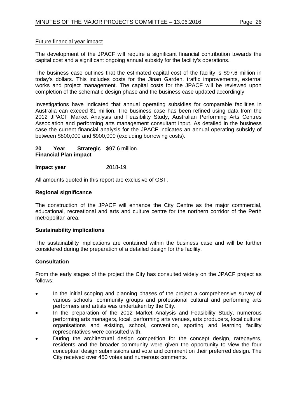#### Future financial year impact

The development of the JPACF will require a significant financial contribution towards the capital cost and a significant ongoing annual subsidy for the facility's operations.

The business case outlines that the estimated capital cost of the facility is \$97.6 million in today's dollars. This includes costs for the Jinan Garden, traffic improvements, external works and project management. The capital costs for the JPACF will be reviewed upon completion of the schematic design phase and the business case updated accordingly.

Investigations have indicated that annual operating subsidies for comparable facilities in Australia can exceed \$1 million. The business case has been refined using data from the 2012 JPACF Market Analysis and Feasibility Study, Australian Performing Arts Centres Association and performing arts management consultant input. As detailed in the business case the current financial analysis for the JPACF indicates an annual operating subsidy of between \$800,000 and \$900,000 (excluding borrowing costs).

**20 Year Strategic**  \$97.6 million. **Financial Plan impact** 

#### **Impact year** 2018-19.

All amounts quoted in this report are exclusive of GST.

#### **Regional significance**

The construction of the JPACF will enhance the City Centre as the major commercial, educational, recreational and arts and culture centre for the northern corridor of the Perth metropolitan area.

#### **Sustainability implications**

The sustainability implications are contained within the business case and will be further considered during the preparation of a detailed design for the facility.

#### **Consultation**

From the early stages of the project the City has consulted widely on the JPACF project as follows:

- In the initial scoping and planning phases of the project a comprehensive survey of various schools, community groups and professional cultural and performing arts performers and artists was undertaken by the City.
- In the preparation of the 2012 Market Analysis and Feasibility Study, numerous performing arts managers, local, performing arts venues, arts producers, local cultural organisations and existing, school, convention, sporting and learning facility representatives were consulted with.
- During the architectural design competition for the concept design, ratepayers, residents and the broader community were given the opportunity to view the four conceptual design submissions and vote and comment on their preferred design. The City received over 450 votes and numerous comments.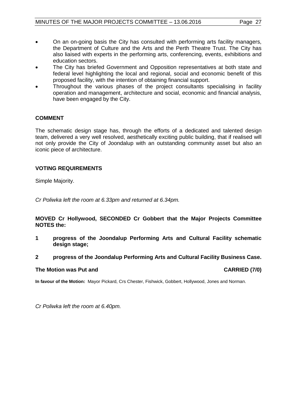- On an on-going basis the City has consulted with performing arts facility managers, the Department of Culture and the Arts and the Perth Theatre Trust. The City has also liaised with experts in the performing arts, conferencing, events, exhibitions and education sectors.
- The City has briefed Government and Opposition representatives at both state and federal level highlighting the local and regional, social and economic benefit of this proposed facility, with the intention of obtaining financial support.
- Throughout the various phases of the project consultants specialising in facility operation and management, architecture and social, economic and financial analysis, have been engaged by the City.

#### **COMMENT**

The schematic design stage has, through the efforts of a dedicated and talented design team, delivered a very well resolved, aesthetically exciting public building, that if realised will not only provide the City of Joondalup with an outstanding community asset but also an iconic piece of architecture.

#### **VOTING REQUIREMENTS**

Simple Majority.

*Cr Poliwka left the room at 6.33pm and returned at 6.34pm.*

#### **MOVED Cr Hollywood, SECONDED Cr Gobbert that the Major Projects Committee NOTES the:**

**1 progress of the Joondalup Performing Arts and Cultural Facility schematic design stage;**

#### **2 progress of the Joondalup Performing Arts and Cultural Facility Business Case.**

#### **The Motion was Put and CARRIED (7/0)**

**In favour of the Motion:** Mayor Pickard, Crs Chester, Fishwick, Gobbert, Hollywood, Jones and Norman.

*Cr Poliwka left the room at 6.40pm.*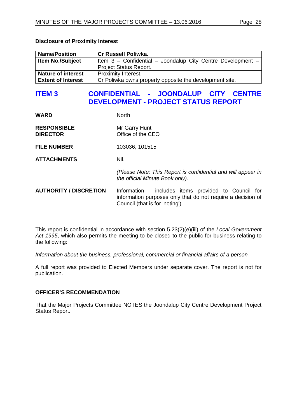| <b>Name/Position</b>      | <b>Cr Russell Poliwka.</b>                                  |
|---------------------------|-------------------------------------------------------------|
| <b>Item No./Subject</b>   | Item 3 - Confidential - Joondalup City Centre Development - |
|                           | <b>Project Status Report.</b>                               |
| <b>Nature of interest</b> | Proximity Interest.                                         |
| <b>Extent of Interest</b> | Cr Poliwka owns property opposite the development site.     |

# <span id="page-27-0"></span>**ITEM 3 CONFIDENTIAL - JOONDALUP CITY CENTRE DEVELOPMENT - PROJECT STATUS REPORT**

| <b>WARD</b>                           | <b>North</b>                                                                                                                                           |
|---------------------------------------|--------------------------------------------------------------------------------------------------------------------------------------------------------|
| <b>RESPONSIBLE</b><br><b>DIRECTOR</b> | Mr Garry Hunt<br>Office of the CEO                                                                                                                     |
| <b>FILE NUMBER</b>                    | 103036, 101515                                                                                                                                         |
| <b>ATTACHMENTS</b>                    | Nil.                                                                                                                                                   |
|                                       | (Please Note: This Report is confidential and will appear in<br>the official Minute Book only).                                                        |
| <b>AUTHORITY / DISCRETION</b>         | Information - includes items provided to Council for<br>information purposes only that do not require a decision of<br>Council (that is for 'noting'). |

This report is confidential in accordance with section 5.23(2)(e)(iii) of the *Local Government Act 1995*, which also permits the meeting to be closed to the public for business relating to the following:

*Information about the business, professional, commercial or financial affairs of a person.*

A full report was provided to Elected Members under separate cover. The report is not for publication.

#### **OFFICER'S RECOMMENDATION**

That the Major Projects Committee NOTES the Joondalup City Centre Development Project Status Report.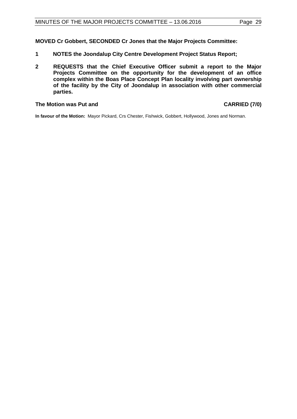**MOVED Cr Gobbert, SECONDED Cr Jones that the Major Projects Committee:**

- **1 NOTES the Joondalup City Centre Development Project Status Report;**
- **2 REQUESTS that the Chief Executive Officer submit a report to the Major Projects Committee on the opportunity for the development of an office complex within the Boas Place Concept Plan locality involving part ownership of the facility by the City of Joondalup in association with other commercial parties.**

#### **The Motion was Put and CARRIED (7/0)**

**In favour of the Motion:** Mayor Pickard, Crs Chester, Fishwick, Gobbert, Hollywood, Jones and Norman.